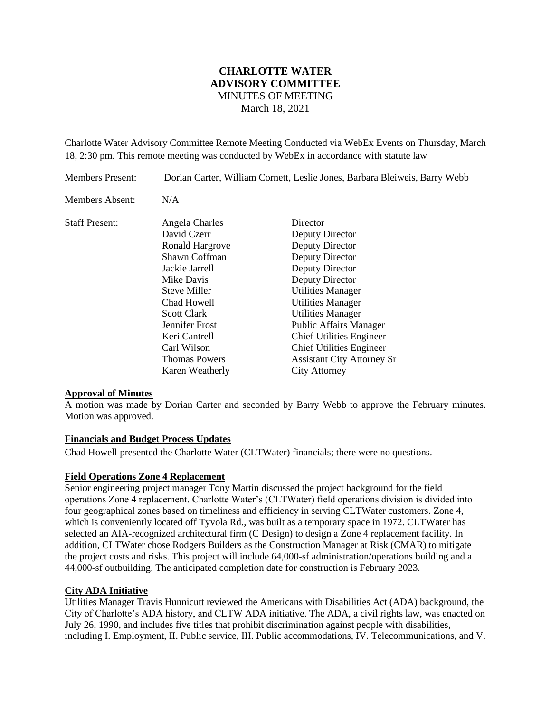# **CHARLOTTE WATER ADVISORY COMMITTEE** MINUTES OF MEETING March 18, 2021

Charlotte Water Advisory Committee Remote Meeting Conducted via WebEx Events on Thursday, March 18, 2:30 pm. This remote meeting was conducted by WebEx in accordance with statute law

| <b>Members Present:</b> | Dorian Carter, William Cornett, Leslie Jones, Barbara Bleiweis, Barry Webb                                                                                                                                                                   |                                                                                                                                                                                                                                                                                                                                                                 |
|-------------------------|----------------------------------------------------------------------------------------------------------------------------------------------------------------------------------------------------------------------------------------------|-----------------------------------------------------------------------------------------------------------------------------------------------------------------------------------------------------------------------------------------------------------------------------------------------------------------------------------------------------------------|
| Members Absent:         | N/A                                                                                                                                                                                                                                          |                                                                                                                                                                                                                                                                                                                                                                 |
| <b>Staff Present:</b>   | Angela Charles<br>David Czerr<br>Ronald Hargrove<br>Shawn Coffman<br>Jackie Jarrell<br>Mike Davis<br>Steve Miller<br>Chad Howell<br>Scott Clark<br>Jennifer Frost<br>Keri Cantrell<br>Carl Wilson<br><b>Thomas Powers</b><br>Karen Weatherly | Director<br>Deputy Director<br>Deputy Director<br>Deputy Director<br>Deputy Director<br>Deputy Director<br><b>Utilities Manager</b><br><b>Utilities Manager</b><br><b>Utilities Manager</b><br><b>Public Affairs Manager</b><br><b>Chief Utilities Engineer</b><br><b>Chief Utilities Engineer</b><br><b>Assistant City Attorney Sr</b><br><b>City Attorney</b> |

# **Approval of Minutes**

A motion was made by Dorian Carter and seconded by Barry Webb to approve the February minutes. Motion was approved.

#### **Financials and Budget Process Updates**

Chad Howell presented the Charlotte Water (CLTWater) financials; there were no questions.

# **Field Operations Zone 4 Replacement**

Senior engineering project manager Tony Martin discussed the project background for the field operations Zone 4 replacement. Charlotte Water's (CLTWater) field operations division is divided into four geographical zones based on timeliness and efficiency in serving CLTWater customers. Zone 4, which is conveniently located off Tyvola Rd., was built as a temporary space in 1972. CLTWater has selected an AIA-recognized architectural firm (C Design) to design a Zone 4 replacement facility. In addition, CLTWater chose Rodgers Builders as the Construction Manager at Risk (CMAR) to mitigate the project costs and risks. This project will include 64,000-sf administration/operations building and a 44,000-sf outbuilding. The anticipated completion date for construction is February 2023.

# **City ADA Initiative**

Utilities Manager Travis Hunnicutt reviewed the Americans with Disabilities Act (ADA) background, the City of Charlotte's ADA history, and CLTW ADA initiative. The ADA, a civil rights law, was enacted on July 26, 1990, and includes five titles that prohibit discrimination against people with disabilities, including I. Employment, II. Public service, III. Public accommodations, IV. Telecommunications, and V.